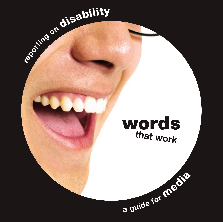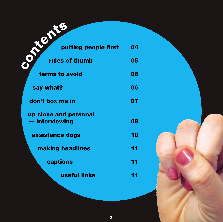| BILE                                    |    |
|-----------------------------------------|----|
| putting people first                    | 04 |
| rules of thumb                          | 05 |
| terms to avoid                          | 06 |
| say what?                               | 06 |
| don't box me in                         | 07 |
| up close and personal<br>- interviewing | 08 |
| assistance dogs                         | 10 |
| making headlines                        | 11 |
| captions                                | 11 |
| useful links                            |    |

2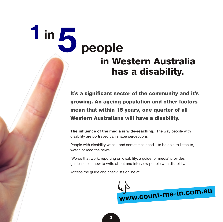## **1in 5 people** in Western Australia has a disability.

It's a significant sector of the community and it's growing. An ageing population and other factors mean that within 15 years, one quarter of all Western Australians will have a disability.

The influence of the media is wide-reaching. The way people with disability are portrayed can shape perceptions.

People with disability want – and sometimes need – to be able to listen to, watch or read the news.

'Words that work, reporting on disability; a guide for media' provides guidelines on how to write about and interview people with disability.

Access the guide and checklists online at

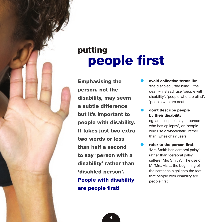## putting<br> **people first**

Emphasising the person, not the disability, may seem a subtle difference but it's important to people with disability. It takes just two extra two words or less than half a second to say 'person with a disability' rather than 'disabled person'. People with disability are people first!

- avoid collective terms like 'the disabled', 'the blind', 'the deaf' – instead, use 'people with disability'; 'people who are blind'; 'people who are deaf'
- don't describe people by their disability;

eg 'an epileptic', say 'a person who has epilepsy', or 'people who use a wheelchair', rather than 'wheelchair users'

refer to the person first: 'Mrs Smith has cerebral palsy', rather than 'cerebral palsy sufferer Mrs Smith'. The use of Mr/Mrs/Ms at the beginning of the sentence highlights the fact that people with disability are people first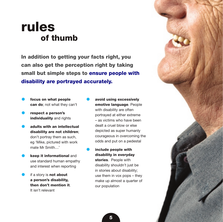## of thumb rules

In addition to getting your facts right, you can also get the perception right by taking small but simple steps to ensure people with disability are portrayed accurately.

- focus on what people can do; not what they can't
- respect a person's individuality and rights
- adults with an intellectual disability are not children; don't portray them as such, eg 'Mike, pictured with work mate Mr Smith <sup>'</sup>
- keep it informational and use standard human empathy and interest when reporting
- if a story is **not about** a person's disability, then don't mention it. It isn't relevant
- avoid using excessively emotive language. People with disability are often portrayed at either extreme – as victims who have been dealt a cruel blow or else depicted as super humanly courageous in overcoming the odds and put on a pedestal
- include people with disability in everyday stories. People with disability shouldn't just be in stories about disability; use them in vox pops – they make up almost a quarter of our population

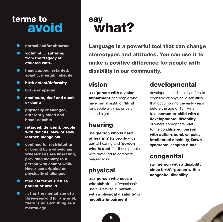### terms to ns to<br>**avoid** w

- $\bullet$ normal and/or abnormal
- victim of…, suffering  $\bullet$ from the tragedy of…, afflicted with…
- $\bullet$ handicapped, retarded, spastic, mental, imbecile
- $\bullet$ birth defect/deformity
- $\bullet$ brave or special
- $\bullet$ deaf mute, deaf and dumb or dumb
- $\bullet$ physically challenged, differently abled and handi-capable
- $\bullet$ retarded, deficient, people with deficits, slow or slow learner, mongoloid
- $\bullet$ confined to, restricted to or bound by a wheelchair. Wheelchairs are liberating, providing mobility to a person who cannot walk. Never use crippled or physically challenged
- medical terms such as  $\bullet$ patient or invalid
- $\bullet$ … has the mental age of a three-year-old (or any age); there is no such thing as a mental age

## what?

Language is a powerful tool that can change stereotypes and attitudes. You can use it to make a positive difference for people with disability in our community.

#### vision

use 'person with a vision impairment' for people who have partial sight, or '**blind'** for people with no, or very limited sight

#### hearing

use 'person who is hard of hearing' for people with partial hearing and 'person who is deaf' for those people with profound to complete hearing loss

#### physical

use 'person who uses a wheelchair' not 'wheelchair user'. Refer to a 'person with a physical disability' or 'mobility impairment'

#### developmental

developmental disability refers to cognitive or physical disabilities that occur during the early years before the age of 18. Refer to a 'person or child with a developmental disability', or where appropriate refer to the condition eg 'person with autism, cerebral palsy, intellectual disability, Down syndrome, or spina bifida'

#### congenital

say 'person with a disability since birth'; 'person with a congenital disability'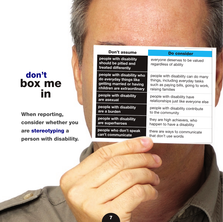### box me in don't

When reporting, consider whether you are stereotyping a person with disability.

| Don't assume                                                          | Do consider                                             |  |
|-----------------------------------------------------------------------|---------------------------------------------------------|--|
| people with disability<br>should be pitied and<br>treated differently | everyone deserves to be valued<br>regardless of ability |  |
| people with disability who                                            | people with disability can do many                      |  |
| do everyday things like                                               | things, including everyday tasks                        |  |
| getting married or having                                             | such as paying bills, going to work,                    |  |
| children are extraordinary                                            | raising families                                        |  |
| people with disability                                                | people with disability have                             |  |
| are asexual                                                           | relationships just like everyone else                   |  |
| people with disability                                                | people with disability contribute                       |  |
| are a burden                                                          | to the community                                        |  |
| people with disability                                                | they are high achievers, who                            |  |
| are superheroes                                                       | happen to have a disability                             |  |
| people who don't speak                                                | there are ways to communicate                           |  |
| can't communicate                                                     | that don't use words                                    |  |
|                                                                       |                                                         |  |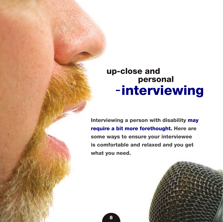## – interviewing up-close and personal

Interviewing a person with disability may require a bit more forethought. Here are some ways to ensure your interviewee is comfortable and relaxed and you get what you need.

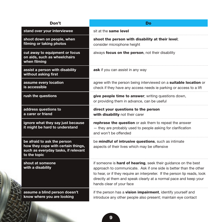| Don't                                                                                                                    | Do                                                                                                                                                                                                                                                                                                                        |
|--------------------------------------------------------------------------------------------------------------------------|---------------------------------------------------------------------------------------------------------------------------------------------------------------------------------------------------------------------------------------------------------------------------------------------------------------------------|
| stand over your interviewee                                                                                              | sit at the same level                                                                                                                                                                                                                                                                                                     |
| shoot down on people, when<br>filming or taking photos                                                                   | shoot the person with disability at their level;<br>consider microphone height                                                                                                                                                                                                                                            |
| cut away to equipment or focus<br>on aids, such as wheelchairs<br>when filming                                           | always focus on the person, not their disability                                                                                                                                                                                                                                                                          |
| assist a person with disability<br>without asking first                                                                  | ask if you can assist in any way                                                                                                                                                                                                                                                                                          |
| assume every location<br>is accessible                                                                                   | agree with the person being interviewed on a suitable location or<br>check if they have any access needs ie parking or access to a lift                                                                                                                                                                                   |
| rush the questions                                                                                                       | give people time to answer; writing questions down,<br>or providing them in advance, can be useful                                                                                                                                                                                                                        |
| address questions to<br>a carer or friend                                                                                | direct your questions to the person<br>with disability not their carer                                                                                                                                                                                                                                                    |
| ignore what they say just because<br>it might be hard to understand                                                      | rephrase the question or ask them to repeat the answer<br>- they are probably used to people asking for clarification<br>and won't be offended                                                                                                                                                                            |
| be afraid to ask the person<br>how they cope with certain things,<br>such as everyday tasks, if relevant<br>to the topic | be mindful of intrusive questions, such as intimate<br>aspects of their lives which may be offensive                                                                                                                                                                                                                      |
| shout at someone<br>with a disability                                                                                    | if someone is <b>hard of hearing</b> , seek their guidance on the best<br>approach to communicate. Ask if one side is better than the other<br>to hear, or if they require an interpreter. If the person lip reads, look<br>directly at them and speak clearly at a normal pace and keep your<br>hands clear of your face |
| assume a blind person doesn't<br>know where you are looking                                                              | if the person has a vision impairment, identify yourself and<br>introduce any other people also present; maintain eye contact                                                                                                                                                                                             |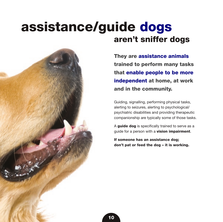# assistance/guide dogs aren't sniffer dogs

They are assistance animals trained to perform many tasks that enable people to be more independent at home, at work and in the community.

Guiding, signalling, performing physical tasks, alerting to seizures, alerting to psychological/ psychiatric disabilities and providing therapeutic companionship are typically some of those tasks.

A guide dog is specifically trained to serve as a quide for a person with a **vision impairment**.

If someone has an assistance dog; don't pat or feed the dog – it is working.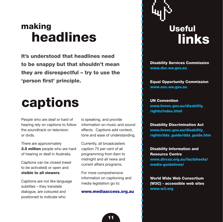## making headlines

It's understood that headlines need to be snappy but that shouldn't mean they are disrespectful – try to use the 'person first' principle.

## captions

People who are deaf or hard of hearing rely on captions to follow the soundtrack on television or dvds.

There are approximately **3.5 million** people who are hard of hearing or deaf in Australia.

Captions can be closed (need to be activated) or open and visible to all viewers.

Captions are not like language subtitles – they translate dialogue, are coloured and positioned to indicate who

is speaking, and provide information on music and sound effects. Captions add context, tone and ease of understanding.

Currently, all broadcasters caption 75 per cent of all programming from 6am to midnight and all news and current affairs programs.

For more comprehensive information on captioning and media legislation go to:

#### www.mediaaccess.org.au

# **Useful links**

Disability Services Commission www.dsc.wa.gov.au

Equal Opportunity Commission www.eoc.wa.gov.au

UN Convention www.hreoc.gov.au/disability\_ rights/index.html

Disability Discrimination Act www.hreoc.gov.au/disability\_ rights/dda\_guide/dda\_guide.htm

Disability Information and Resource Centre www.dircsa.org.au/factsheets/ media-guidelines/

World Wide Web Consortium (W3C) - accessible web sites www.w3.org